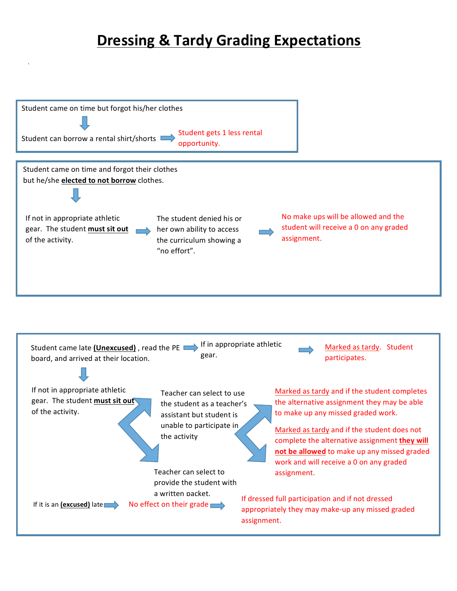# **Dressing & Tardy Grading Expectations**

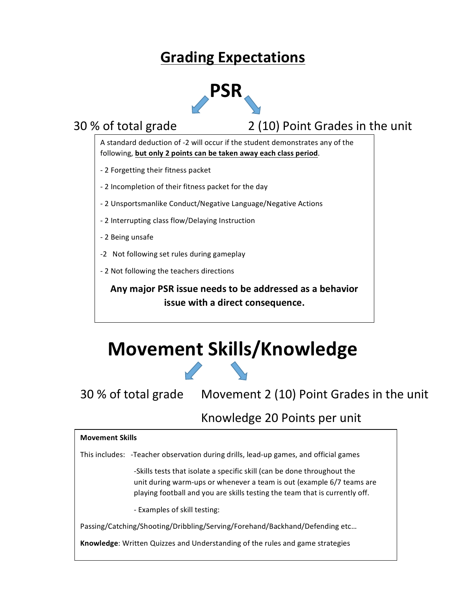# **Grading Expectations**



30 % of total grade 2 (10) Point Grades in the unit

A standard deduction of -2 will occur if the student demonstrates any of the following, but only 2 points can be taken away each class period.

- 2 Forgetting their fitness packet
- 2 Incompletion of their fitness packet for the day
- 2 Unsportsmanlike Conduct/Negative Language/Negative Actions
- 2 Interrupting class flow/Delaying Instruction
- 2 Being unsafe
- -2 Not following set rules during gameplay
- 2 Not following the teachers directions

Any major PSR issue needs to be addressed as a behavior **issue with a direct consequence.** 

# **Movement Skills/Knowledge**

30 % of total grade Movement 2 (10) Point Grades in the unit

## Knowledge 20 Points per unit

# **Movement Skills** This includes: -Teacher observation during drills, lead-up games, and official games -Skills tests that isolate a specific skill (can be done throughout the unit during warm-ups or whenever a team is out (example 6/7 teams are playing football and you are skills testing the team that is currently off. - Examples of skill testing: Passing/Catching/Shooting/Dribbling/Serving/Forehand/Backhand/Defending etc... **Knowledge:** Written Quizzes and Understanding of the rules and game strategies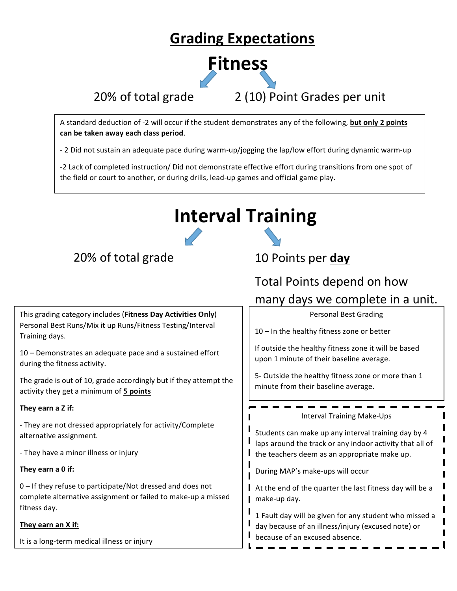# **Grading Expectations**



20% of total grade 2 (10) Point Grades per unit

A standard deduction of -2 will occur if the student demonstrates any of the following, **but only 2 points can be taken away each class period**. 

- 2 Did not sustain an adequate pace during warm-up/jogging the lap/low effort during dynamic warm-up

-2 Lack of completed instruction/ Did not demonstrate effective effort during transitions from one spot of the field or court to another, or during drills, lead-up games and official game play.

# **Interval Training**

## 20% of total grade 10 Points per day

This grading category includes (Fitness Day Activities Only) Personal Best Runs/Mix it up Runs/Fitness Testing/Interval Training days.

10 – Demonstrates an adequate pace and a sustained effort during the fitness activity.

The grade is out of 10, grade accordingly but if they attempt the activity they get a minimum of 5 points

## **They earn a Z if:**

- They are not dressed appropriately for activity/Complete alternative assignment.

- They have a minor illness or injury

## **They earn a 0 if:**

 $0$  – If they refuse to participate/Not dressed and does not complete alternative assignment or failed to make-up a missed fitness day.

## They earn an X if:

It is a long-term medical illness or injury

# Total Points depend on how many days we complete in a unit.

Personal Best Grading

 $10$  – In the healthy fitness zone or better

If outside the healthy fitness zone it will be based upon 1 minute of their baseline average.

5- Outside the healthy fitness zone or more than 1 minute from their baseline average.

Students can make up any interval training day by 4 laps around the track or any indoor activity that all of I the teachers deem as an appropriate make up.

Interval Training Make-Ups 

During MAP's make-ups will occur

 $\blacksquare$  At the end of the quarter the last fitness day will be a  $\blacksquare$  make-up day.

1 Fault day will be given for any student who missed a day because of an illness/injury (excused note) or because of an excused absence.